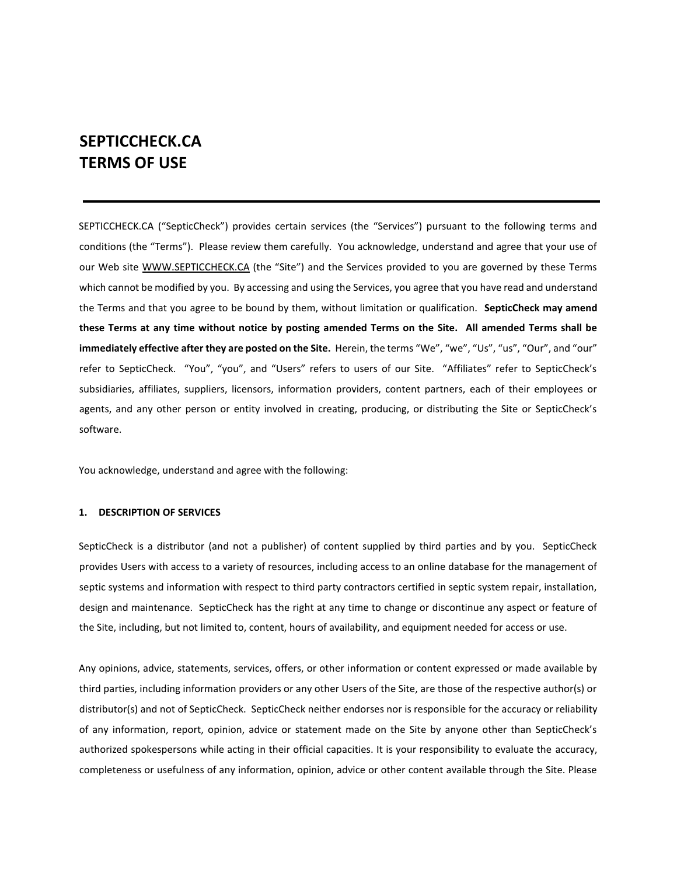# **SEPTICCHECK.CA TERMS OF USE**

SEPTICCHECK.CA ("SepticCheck") provides certain services (the "Services") pursuant to the following terms and conditions (the "Terms"). Please review them carefully. You acknowledge, understand and agree that your use of our Web site [WWW.SEPTICCHECK.CA](http://www.septiccheck.ca/) [\(](http://www.septiccheck.ca/)the "Site") and the Services provided to you are governed by these Terms which cannot be modified by you. By accessing and using the Services, you agree that you have read and understand the Terms and that you agree to be bound by them, without limitation or qualification. **SepticCheck may amend these Terms at any time without notice by posting amended Terms on the Site. All amended Terms shall be immediately effective after they are posted on the Site.** Herein, the terms "We", "we", "Us", "us", "Our", and "our" refer to SepticCheck. "You", "you", and "Users" refers to users of our Site. "Affiliates" refer to SepticCheck's subsidiaries, affiliates, suppliers, licensors, information providers, content partners, each of their employees or agents, and any other person or entity involved in creating, producing, or distributing the Site or SepticCheck's software.

You acknowledge, understand and agree with the following:

## **1. DESCRIPTION OF SERVICES**

SepticCheck is a distributor (and not a publisher) of content supplied by third parties and by you. SepticCheck provides Users with access to a variety of resources, including access to an online database for the management of septic systems and information with respect to third party contractors certified in septic system repair, installation, design and maintenance. SepticCheck has the right at any time to change or discontinue any aspect or feature of the Site, including, but not limited to, content, hours of availability, and equipment needed for access or use.

Any opinions, advice, statements, services, offers, or other information or content expressed or made available by third parties, including information providers or any other Users of the Site, are those of the respective author(s) or distributor(s) and not of SepticCheck. SepticCheck neither endorses nor is responsible for the accuracy or reliability of any information, report, opinion, advice or statement made on the Site by anyone other than SepticCheck's authorized spokespersons while acting in their official capacities. It is your responsibility to evaluate the accuracy, completeness or usefulness of any information, opinion, advice or other content available through the Site. Please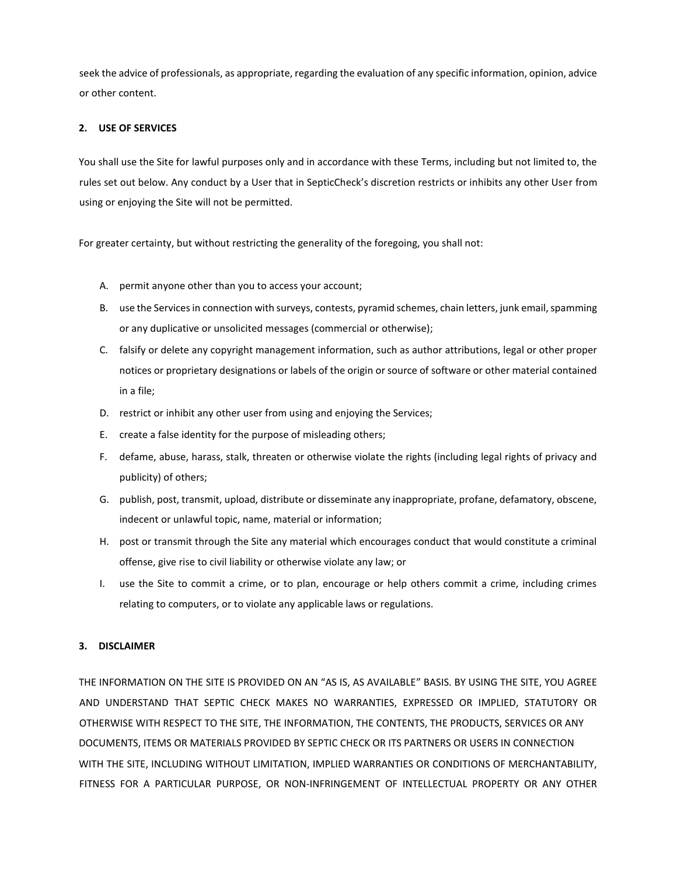seek the advice of professionals, as appropriate, regarding the evaluation of any specific information, opinion, advice or other content.

## **2. USE OF SERVICES**

You shall use the Site for lawful purposes only and in accordance with these Terms, including but not limited to, the rules set out below. Any conduct by a User that in SepticCheck's discretion restricts or inhibits any other User from using or enjoying the Site will not be permitted.

For greater certainty, but without restricting the generality of the foregoing, you shall not:

- A. permit anyone other than you to access your account;
- B. use the Services in connection with surveys, contests, pyramid schemes, chain letters, junk email, spamming or any duplicative or unsolicited messages (commercial or otherwise);
- C. falsify or delete any copyright management information, such as author attributions, legal or other proper notices or proprietary designations or labels of the origin or source of software or other material contained in a file;
- D. restrict or inhibit any other user from using and enjoying the Services;
- E. create a false identity for the purpose of misleading others;
- F. defame, abuse, harass, stalk, threaten or otherwise violate the rights (including legal rights of privacy and publicity) of others;
- G. publish, post, transmit, upload, distribute or disseminate any inappropriate, profane, defamatory, obscene, indecent or unlawful topic, name, material or information;
- H. post or transmit through the Site any material which encourages conduct that would constitute a criminal offense, give rise to civil liability or otherwise violate any law; or
- I. use the Site to commit a crime, or to plan, encourage or help others commit a crime, including crimes relating to computers, or to violate any applicable laws or regulations.

## **3. DISCLAIMER**

THE INFORMATION ON THE SITE IS PROVIDED ON AN "AS IS, AS AVAILABLE" BASIS. BY USING THE SITE, YOU AGREE AND UNDERSTAND THAT SEPTIC CHECK MAKES NO WARRANTIES, EXPRESSED OR IMPLIED, STATUTORY OR OTHERWISE WITH RESPECT TO THE SITE, THE INFORMATION, THE CONTENTS, THE PRODUCTS, SERVICES OR ANY DOCUMENTS, ITEMS OR MATERIALS PROVIDED BY SEPTIC CHECK OR ITS PARTNERS OR USERS IN CONNECTION WITH THE SITE, INCLUDING WITHOUT LIMITATION, IMPLIED WARRANTIES OR CONDITIONS OF MERCHANTABILITY, FITNESS FOR A PARTICULAR PURPOSE, OR NON-INFRINGEMENT OF INTELLECTUAL PROPERTY OR ANY OTHER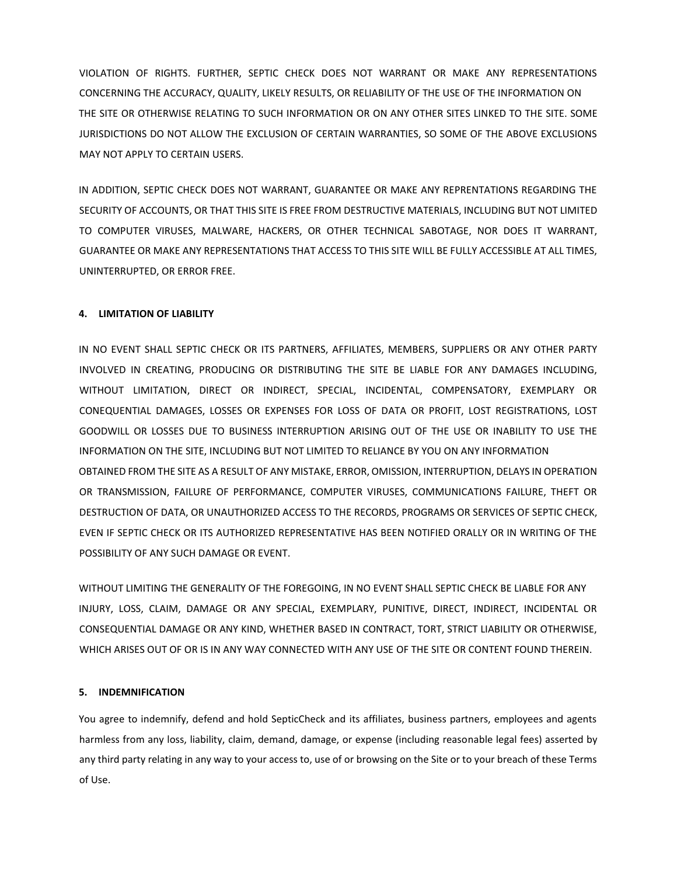VIOLATION OF RIGHTS. FURTHER, SEPTIC CHECK DOES NOT WARRANT OR MAKE ANY REPRESENTATIONS CONCERNING THE ACCURACY, QUALITY, LIKELY RESULTS, OR RELIABILITY OF THE USE OF THE INFORMATION ON THE SITE OR OTHERWISE RELATING TO SUCH INFORMATION OR ON ANY OTHER SITES LINKED TO THE SITE. SOME JURISDICTIONS DO NOT ALLOW THE EXCLUSION OF CERTAIN WARRANTIES, SO SOME OF THE ABOVE EXCLUSIONS MAY NOT APPLY TO CERTAIN USERS.

IN ADDITION, SEPTIC CHECK DOES NOT WARRANT, GUARANTEE OR MAKE ANY REPRENTATIONS REGARDING THE SECURITY OF ACCOUNTS, OR THAT THIS SITE IS FREE FROM DESTRUCTIVE MATERIALS, INCLUDING BUT NOT LIMITED TO COMPUTER VIRUSES, MALWARE, HACKERS, OR OTHER TECHNICAL SABOTAGE, NOR DOES IT WARRANT, GUARANTEE OR MAKE ANY REPRESENTATIONS THAT ACCESS TO THIS SITE WILL BE FULLY ACCESSIBLE AT ALL TIMES, UNINTERRUPTED, OR ERROR FREE.

## **4. LIMITATION OF LIABILITY**

IN NO EVENT SHALL SEPTIC CHECK OR ITS PARTNERS, AFFILIATES, MEMBERS, SUPPLIERS OR ANY OTHER PARTY INVOLVED IN CREATING, PRODUCING OR DISTRIBUTING THE SITE BE LIABLE FOR ANY DAMAGES INCLUDING, WITHOUT LIMITATION, DIRECT OR INDIRECT, SPECIAL, INCIDENTAL, COMPENSATORY, EXEMPLARY OR CONEQUENTIAL DAMAGES, LOSSES OR EXPENSES FOR LOSS OF DATA OR PROFIT, LOST REGISTRATIONS, LOST GOODWILL OR LOSSES DUE TO BUSINESS INTERRUPTION ARISING OUT OF THE USE OR INABILITY TO USE THE INFORMATION ON THE SITE, INCLUDING BUT NOT LIMITED TO RELIANCE BY YOU ON ANY INFORMATION OBTAINED FROM THE SITE AS A RESULT OF ANY MISTAKE, ERROR, OMISSION, INTERRUPTION, DELAYS IN OPERATION OR TRANSMISSION, FAILURE OF PERFORMANCE, COMPUTER VIRUSES, COMMUNICATIONS FAILURE, THEFT OR DESTRUCTION OF DATA, OR UNAUTHORIZED ACCESS TO THE RECORDS, PROGRAMS OR SERVICES OF SEPTIC CHECK, EVEN IF SEPTIC CHECK OR ITS AUTHORIZED REPRESENTATIVE HAS BEEN NOTIFIED ORALLY OR IN WRITING OF THE POSSIBILITY OF ANY SUCH DAMAGE OR EVENT.

WITHOUT LIMITING THE GENERALITY OF THE FOREGOING, IN NO EVENT SHALL SEPTIC CHECK BE LIABLE FOR ANY INJURY, LOSS, CLAIM, DAMAGE OR ANY SPECIAL, EXEMPLARY, PUNITIVE, DIRECT, INDIRECT, INCIDENTAL OR CONSEQUENTIAL DAMAGE OR ANY KIND, WHETHER BASED IN CONTRACT, TORT, STRICT LIABILITY OR OTHERWISE, WHICH ARISES OUT OF OR IS IN ANY WAY CONNECTED WITH ANY USE OF THE SITE OR CONTENT FOUND THEREIN.

## **5. INDEMNIFICATION**

You agree to indemnify, defend and hold SepticCheck and its affiliates, business partners, employees and agents harmless from any loss, liability, claim, demand, damage, or expense (including reasonable legal fees) asserted by any third party relating in any way to your access to, use of or browsing on the Site or to your breach of these Terms of Use.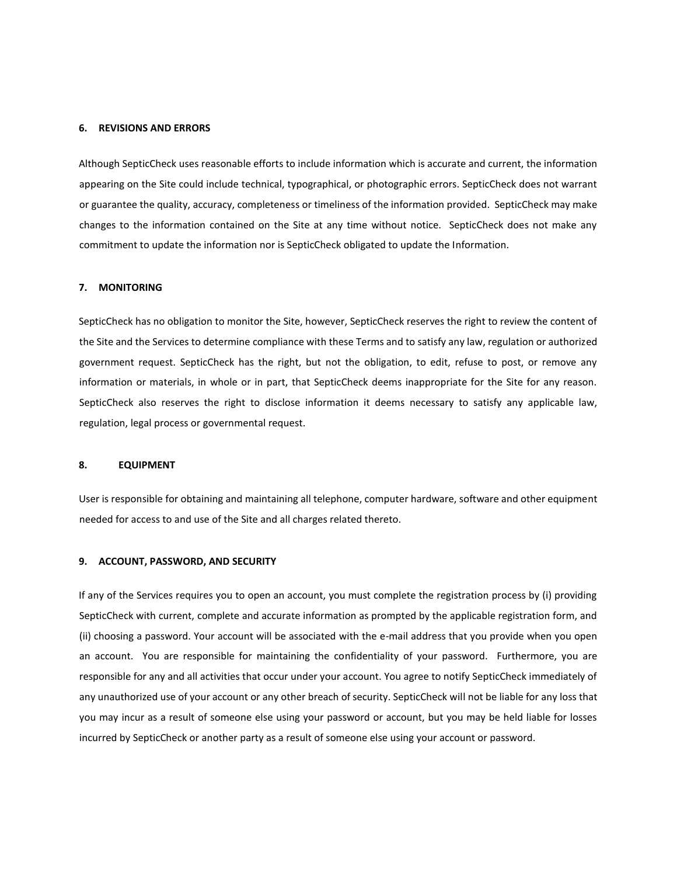#### **6. REVISIONS AND ERRORS**

Although SepticCheck uses reasonable efforts to include information which is accurate and current, the information appearing on the Site could include technical, typographical, or photographic errors. SepticCheck does not warrant or guarantee the quality, accuracy, completeness or timeliness of the information provided. SepticCheck may make changes to the information contained on the Site at any time without notice. SepticCheck does not make any commitment to update the information nor is SepticCheck obligated to update the Information.

## **7. MONITORING**

SepticCheck has no obligation to monitor the Site, however, SepticCheck reserves the right to review the content of the Site and the Services to determine compliance with these Terms and to satisfy any law, regulation or authorized government request. SepticCheck has the right, but not the obligation, to edit, refuse to post, or remove any information or materials, in whole or in part, that SepticCheck deems inappropriate for the Site for any reason. SepticCheck also reserves the right to disclose information it deems necessary to satisfy any applicable law, regulation, legal process or governmental request.

#### **8. EQUIPMENT**

User is responsible for obtaining and maintaining all telephone, computer hardware, software and other equipment needed for access to and use of the Site and all charges related thereto.

## **9. ACCOUNT, PASSWORD, AND SECURITY**

If any of the Services requires you to open an account, you must complete the registration process by (i) providing SepticCheck with current, complete and accurate information as prompted by the applicable registration form, and (ii) choosing a password. Your account will be associated with the e-mail address that you provide when you open an account. You are responsible for maintaining the confidentiality of your password. Furthermore, you are responsible for any and all activities that occur under your account. You agree to notify SepticCheck immediately of any unauthorized use of your account or any other breach of security. SepticCheck will not be liable for any loss that you may incur as a result of someone else using your password or account, but you may be held liable for losses incurred by SepticCheck or another party as a result of someone else using your account or password.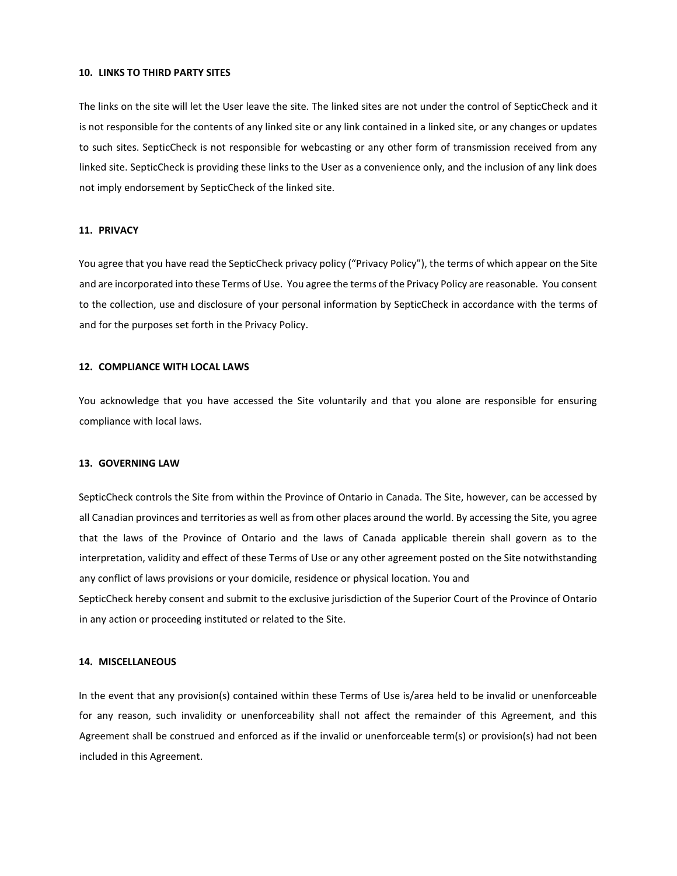#### **10. LINKS TO THIRD PARTY SITES**

The links on the site will let the User leave the site. The linked sites are not under the control of SepticCheck and it is not responsible for the contents of any linked site or any link contained in a linked site, or any changes or updates to such sites. SepticCheck is not responsible for webcasting or any other form of transmission received from any linked site. SepticCheck is providing these links to the User as a convenience only, and the inclusion of any link does not imply endorsement by SepticCheck of the linked site.

#### **11. PRIVACY**

You agree that you have read the SepticCheck privacy policy ("Privacy Policy"), the terms of which appear on the Site and are incorporated into these Terms of Use. You agree the terms of the Privacy Policy are reasonable. You consent to the collection, use and disclosure of your personal information by SepticCheck in accordance with the terms of and for the purposes set forth in the Privacy Policy.

#### **12. COMPLIANCE WITH LOCAL LAWS**

You acknowledge that you have accessed the Site voluntarily and that you alone are responsible for ensuring compliance with local laws.

#### **13. GOVERNING LAW**

SepticCheck controls the Site from within the Province of Ontario in Canada. The Site, however, can be accessed by all Canadian provinces and territories as well as from other places around the world. By accessing the Site, you agree that the laws of the Province of Ontario and the laws of Canada applicable therein shall govern as to the interpretation, validity and effect of these Terms of Use or any other agreement posted on the Site notwithstanding any conflict of laws provisions or your domicile, residence or physical location. You and SepticCheck hereby consent and submit to the exclusive jurisdiction of the Superior Court of the Province of Ontario in any action or proceeding instituted or related to the Site.

#### **14. MISCELLANEOUS**

In the event that any provision(s) contained within these Terms of Use is/area held to be invalid or unenforceable for any reason, such invalidity or unenforceability shall not affect the remainder of this Agreement, and this Agreement shall be construed and enforced as if the invalid or unenforceable term(s) or provision(s) had not been included in this Agreement.